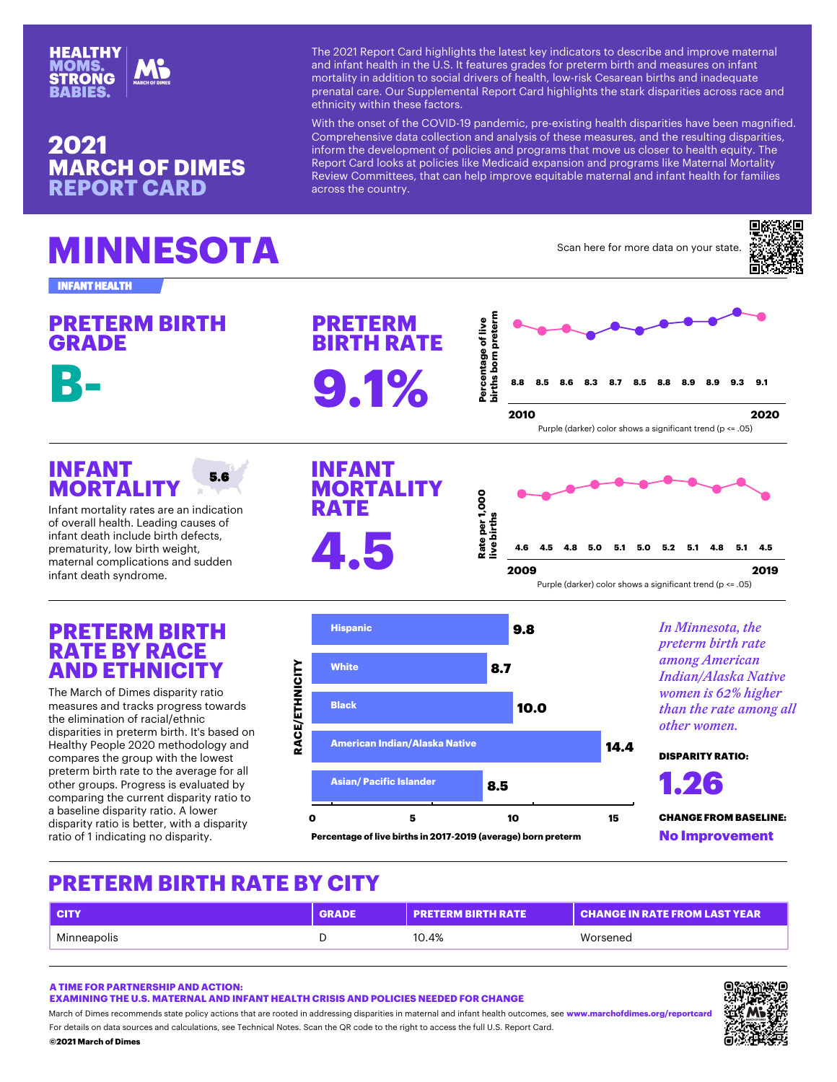W¨~ M~ËÁİÖ "İ– "ª£¨·ª£¨ÖÐ Ö¨~ -"Ö~ÐÖ µ~쪼–ª•"ÖÁİÐ ÖÁ – "¼– ª¼¢"¼Ö¨~̃"∙Ö¨ ª¼ Ö¨˝ [;Q; \*Õ ¢~"ÖÚÍ~Ð £İ"–~Ð ¢Áİ Ëİ~Ö~İ» • »ÁIO"·ªO쪼 "——ªOªÁ¼ OÁ ĐÁ•ª"·–Iªå~IÐ Á¢ ¨~"·Ö¨< ·Áæ lªÐµ ↑ ËÌ~¼"Ö"·•"Ì~; BÚÌ QÚËË·˝»~¼Ö"·M˝ËÀÌÖ –"İ–"ª£¨·ª£¨ÖÐ Ö¨" ĐÖ ˜Ö¨¼ª•ªÖìæªÖ¨ª¼Ö¨˜Ð˜¢"•ÖÁÌÐ;

Á»Ëİ~~~¼Đªå~ —"Ö" •Á··~•ÖªÁ¼ "¼— "¼"·ìĐªÐ Á¢ Ö¨~Ð~ »~"ĐÚİ~Đ< ª¼¢Ál» O¨~–~å~∙AE»~¼O Á¢ EA·ª•ª~Ð "¼– EIÁ£I"»Ð O¨"O »Áå~ U M˝ËÁİÖ "İ–·ÁÁµÐ "Ö ËÁ·ª•ª˝Ð ·ªµ˝ <˝–ª•"ª– ˝ëË"¼ÐªÁ¼ "¼– ËİÁ M~åª~æ A»»ªOO~~Ð< O¨"O •"¼ ¨~⋅Ē ª»EIAå~ ~EUªO"•·~ »"O~I¼"⋅" "•ÌÁÐÐÖ¨˜•ÁÚ¼ÖÌì;  $\lt M$  (B"  $\neq$  Q M KBMW M

 $Q \cdot N$ <sup>"'</sup>i"¢ÁÌ »ÁÌ" – "Ö "Á¼ ìÁÚÌ ĐÖ "Ö

gªÖ¨Ö¨˝Á¼Ð˝Ö Á¢ Ö¨˝ Bf\* │Ë"¼–˝»ª•< Ëİ˝ ~ëªÐÖª¼£¨~"∙Ö¨ –

=Á\*»ÊÌÁ嘻˜¼Ö #"å˜Ì"£˜\$•Á̼Ê̘̻֘

 $($  = #  $"MB <$  Q  $8" =$  =

 $\frac{1}{2}$  $\bigstar$  $K M W M <$ \*MW(MWK˜Ì•˜¼Ö"£˜Á¢·ªå˜ •ªÌŐ¨Ð •Á̼ ĒÌ″Ö″Í» QBW  $KM$  W M  $\lt$  \*MW( #M  $KÚlÊ·$ <sup>*"*</sup>  $# -$ </sup> $|µ$ <sup> $\circ$ </sup>l\$ •Á·Ál Đ<sup>*\**</sup>ÁæÐ "Ъ£¼ª¢ª•,<sub>»</sub>¼Ö Öl<sup>\*</sup>¼–  $* = " = W (8W)$ 



•Á»Ë"ݪ¼£ Ö¨~ •Úİİ~¼Ö –ªĐË"ݪ  $, \bullet, D^{\sim}$ . $\frac{a}{4}$   $\frac{v}{a}$   $\frac{a}{2}$   $\frac{b}{2}$   $\frac{c}{2}$   $\frac{a}{2}$   $\frac{c}{2}$   $\frac{a}{2}$   $\frac{c}{2}$   $\frac{a}{2}$   $\frac{c}{2}$ –ªĐÊ"̪Öì Ì"ÖªÁ ªÐ •~ÖÖ~Ì< æª  $i_{n}$ Ö<sup>a</sup>ÁÁ¢ <sup>a</sup>¼–<sup>a</sup>•, Ö<sup>a</sup>¼£¼Á –<sup>a</sup>Ð

KMWM<\*MW(MWm\*Wm

| $g \wedge \neg B \wedge \sqrt{4}$ – |       |  |  |
|-------------------------------------|-------|--|--|
|                                     | * W m |  |  |
|                                     |       |  |  |

 $W^*$  < "BM K MW= MQ(\*K = W\*B==

 $1 <^* =^* = \# W$ ( $[;Q; < W^*M = 8] = ^* = " = W ( 8 W (M^*Q^*Q) = 14488^* (Q) = 14488^* (Q) = 14488^* (Q) = 14488^* (Q) = 14488^* (Q) = 14488^* (Q) = 14488^* (Q) = 14488^* (Q) = 14488^* (Q) = 14488^* (Q) = 14488^* (Q) = 14488^* (Q) = 14488^* (Q) = 14488^* (Q) = 144$ 

"ÁÌ–~Ö"ª·ÐÁ¼ –"Ö"ÐÁÚÌ•~Ð "¼– •"·•Ú."ÖªÁ¼Ð< Đ~~ W~•~¼ª•"· =ÁÖ~Ð; Q•"¼ Ö~~ LM •Á–~ ÖÁ Ö~~ ̪£¨Ö ÖÁ "••~ÐÐ Ö~~ ¢Ú··[;Q; M´ĒÁÌÖ < "Ì•¨Á¢ ª»~Ð Ì~•Á»»~¼–Ð ĐÖ "Ö″ÊÁ·ª•ì "•ÖªÁ¼Ð Ö¨"Ö "Ì″ÌÁÁÖ″– ª¼ "––Ì~ĐĐª¼£–ªĐÊ "̪ើð@æ}®¼Ì∞"√Ö⊊∔¼»¨Ð"¼Å∔£D¼čË,なÖÖ•",¨L–Ö″ÁÚÖ•Á» r <"Ì•¨A¢ ª»̃Đ